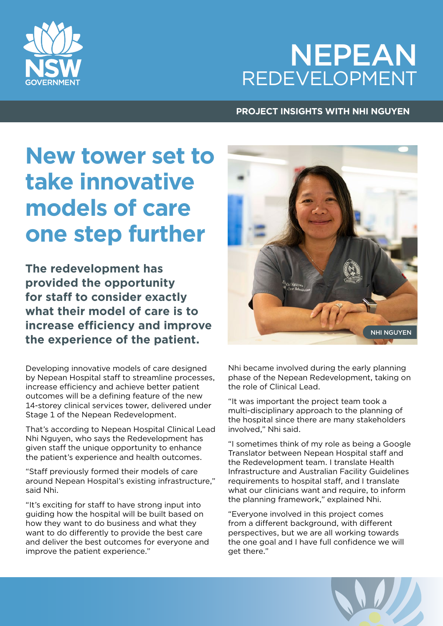# NEPEAN REDEVELOPMENT

### **PROJECT INSIGHTS WITH NHI NGUYEN**

# **New tower set to take innovative models of care one step further**

**The redevelopment has provided the opportunity for staff to consider exactly what their model of care is to increase efficiency and improve the experience of the patient.**

Developing innovative models of care designed by Nepean Hospital staff to streamline processes, increase efficiency and achieve better patient outcomes will be a defining feature of the new 14-storey clinical services tower, delivered under Stage 1 of the Nepean Redevelopment.

That's according to Nepean Hospital Clinical Lead Nhi Nguyen, who says the Redevelopment has given staff the unique opportunity to enhance the patient's experience and health outcomes.

"Staff previously formed their models of care around Nepean Hospital's existing infrastructure," said Nhi.

"It's exciting for staff to have strong input into guiding how the hospital will be built based on how they want to do business and what they want to do differently to provide the best care and deliver the best outcomes for everyone and improve the patient experience."



Nhi became involved during the early planning phase of the Nepean Redevelopment, taking on the role of Clinical Lead.

"It was important the project team took a multi-disciplinary approach to the planning of the hospital since there are many stakeholders involved," Nhi said.

"I sometimes think of my role as being a Google Translator between Nepean Hospital staff and the Redevelopment team. I translate Health Infrastructure and Australian Facility Guidelines requirements to hospital staff, and I translate what our clinicians want and require, to inform the planning framework," explained Nhi.

"Everyone involved in this project comes from a different background, with different perspectives, but we are all working towards the one goal and I have full confidence we will get there."